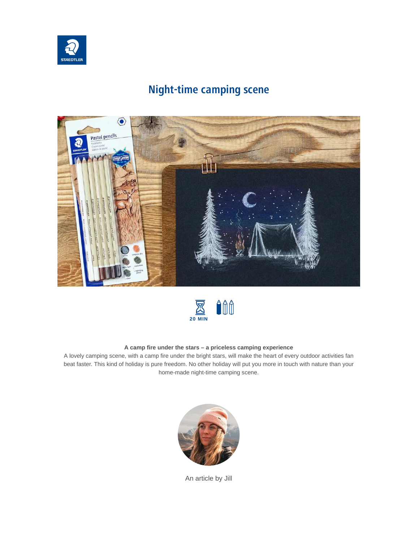

## **Night-time camping scene**





## **A camp fire under the stars – a priceless camping experience**

A lovely camping scene, with a camp fire under the bright stars, will make the heart of every outdoor activities fan beat faster. This kind of holiday is pure freedom. No other holiday will put you more in touch with nature than your home-made night-time camping scene.



An article by Jill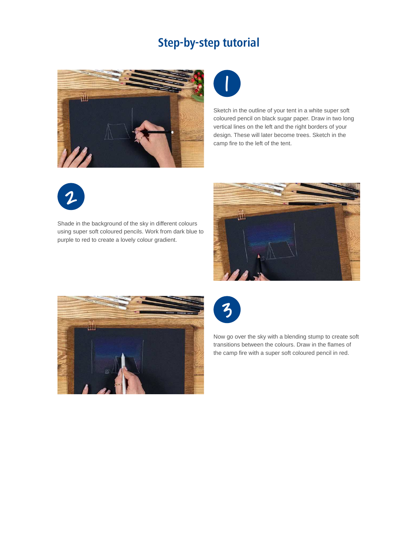## **Step-by-step tutorial**





Sketch in the outline of your tent in a white super soft coloured pencil on black sugar paper. Draw in two long vertical lines on the left and the right borders of your design. These will later become trees. Sketch in the camp fire to the left of the tent.



Shade in the background of the sky in different colours using super soft coloured pencils. Work from dark blue to purple to red to create a lovely colour gradient.







Now go over the sky with a blending stump to create soft transitions between the colours. Draw in the flames of the camp fire with a super soft coloured pencil in red.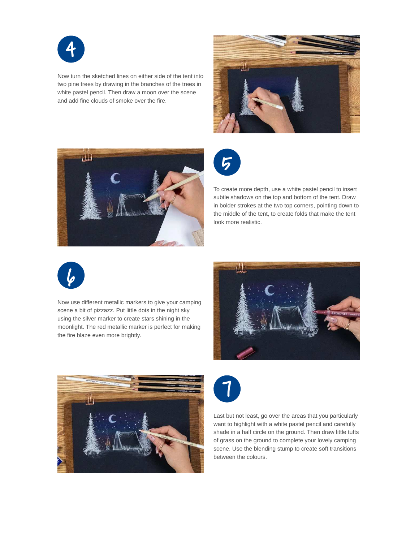

Now turn the sketched lines on either side of the tent into two pine trees by drawing in the branches of the trees in white pastel pencil. Then draw a moon over the scene and add fine clouds of smoke over the fire.







To create more depth, use a white pastel pencil to insert subtle shadows on the top and bottom of the tent. Draw in bolder strokes at the two top corners, pointing down to the middle of the tent, to create folds that make the tent look more realistic.



Now use different metallic markers to give your camping scene a bit of pizzazz. Put little dots in the night sky using the silver marker to create stars shining in the moonlight. The red metallic marker is perfect for making the fire blaze even more brightly.







Last but not least, go over the areas that you particularly want to highlight with a white pastel pencil and carefully shade in a half circle on the ground. Then draw little tufts of grass on the ground to complete your lovely camping scene. Use the blending stump to create soft transitions between the colours.